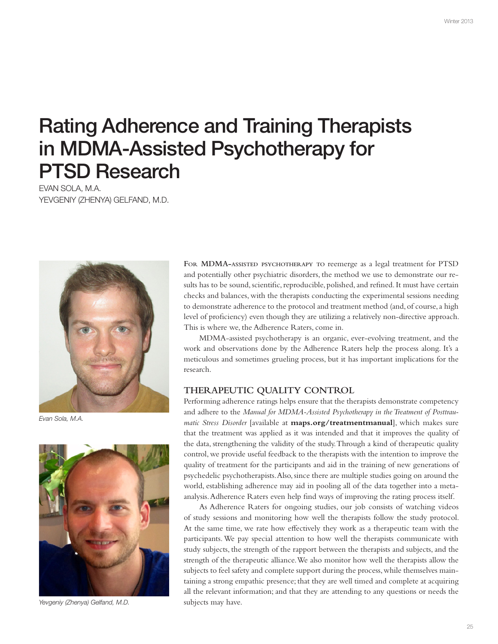# Rating Adherence and Training Therapists in MDMA-Assisted Psychotherapy for PTSD Research

EVAN SOLA, M.A. YEVGENIY (ZHENYA) GELFAND, M.D.



Evan Sola, M.A.



Yevgeniy (Zhenya) Gelfand, M.D.

**FOR MDMA-ASSISTED PSYCHOTHERAPY TO** reemerge as a legal treatment for PTSD and potentially other psychiatric disorders, the method we use to demonstrate our results has to be sound, scientific, reproducible, polished, and refined. It must have certain checks and balances, with the therapists conducting the experimental sessions needing to demonstrate adherence to the protocol and treatment method (and, of course, a high level of proficiency) even though they are utilizing a relatively non-directive approach. This is where we, the Adherence Raters, come in.

MDMA-assisted psychotherapy is an organic, ever-evolving treatment, and the work and observations done by the Adherence Raters help the process along. It's a meticulous and sometimes grueling process, but it has important implications for the research.

#### **THERAPEUTIC QUALITY CONTROL**

Performing adherence ratings helps ensure that the therapists demonstrate competency and adhere to the *Manual for MDMA-Assisted Psychotherapy in the Treatment of Posttraumatic Stress Disorder* [available at **maps.org/treatmentmanual**], which makes sure that the treatment was applied as it was intended and that it improves the quality of the data, strengthening the validity of the study. Through a kind of therapeutic quality control, we provide useful feedback to the therapists with the intention to improve the quality of treatment for the participants and aid in the training of new generations of psychedelic psychotherapists. Also, since there are multiple studies going on around the world, establishing adherence may aid in pooling all of the data together into a metaanalysis. Adherence Raters even help find ways of improving the rating process itself.

As Adherence Raters for ongoing studies, our job consists of watching videos of study sessions and monitoring how well the therapists follow the study protocol. At the same time, we rate how effectively they work as a therapeutic team with the participants. We pay special attention to how well the therapists communicate with study subjects, the strength of the rapport between the therapists and subjects, and the strength of the therapeutic alliance. We also monitor how well the therapists allow the subjects to feel safety and complete support during the process, while themselves maintaining a strong empathic presence; that they are well timed and complete at acquiring all the relevant information; and that they are attending to any questions or needs the subjects may have.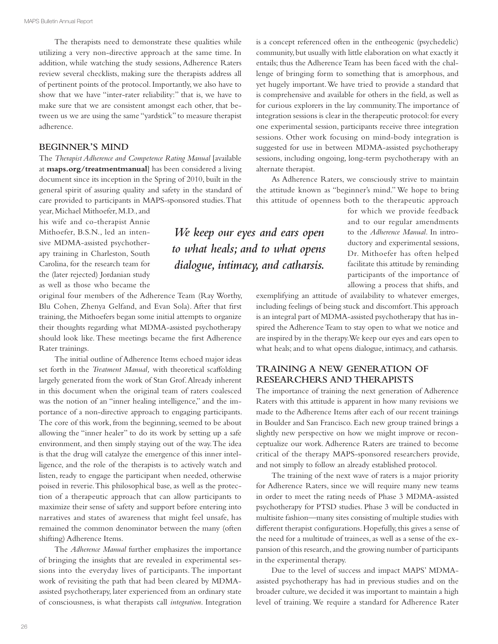The therapists need to demonstrate these qualities while utilizing a very non-directive approach at the same time. In addition, while watching the study sessions, Adherence Raters review several checklists, making sure the therapists address all of pertinent points of the protocol. Importantly, we also have to show that we have "inter-rater reliability:" that is, we have to make sure that we are consistent amongst each other, that between us we are using the same "yardstick" to measure therapist adherence.

### **BEGINNER'S MIND**

The *Therapist Adherence and Competence Rating Manual* [available at **maps.org/treatmentmanual**] has been considered a living document since its inception in the Spring of 2010, built in the general spirit of assuring quality and safety in the standard of care provided to participants in MAPS-sponsored studies. That year, Michael Mithoefer, M.D., and

his wife and co-therapist Annie Mithoefer, B.S.N., led an intensive MDMA-assisted psychotherapy training in Charleston, South Carolina, for the research team for the (later rejected) Jordanian study as well as those who became the

original four members of the Adherence Team (Ray Worthy, Blu Cohen, Zhenya Gelfand, and Evan Sola). After that first training, the Mithoefers began some initial attempts to organize their thoughts regarding what MDMA-assisted psychotherapy should look like. These meetings became the first Adherence Rater trainings.

The initial outline of Adherence Items echoed major ideas set forth in the *Treatment Manual*, with theoretical scaffolding largely generated from the work of Stan Grof. Already inherent in this document when the original team of raters coalesced was the notion of an "inner healing intelligence," and the importance of a non-directive approach to engaging participants. The core of this work, from the beginning, seemed to be about allowing the "inner healer" to do its work by setting up a safe environment, and then simply staying out of the way. The idea is that the drug will catalyze the emergence of this inner intelligence, and the role of the therapists is to actively watch and listen, ready to engage the participant when needed, otherwise poised in reverie. This philosophical base, as well as the protection of a therapeutic approach that can allow participants to maximize their sense of safety and support before entering into narratives and states of awareness that might feel unsafe, has remained the common denominator between the many (often shifting) Adherence Items.

The *Adherence Manual* further emphasizes the importance of bringing the insights that are revealed in experimental sessions into the everyday lives of participants. The important work of revisiting the path that had been cleared by MDMAassisted psychotherapy, later experienced from an ordinary state of consciousness, is what therapists call *integration*. Integration is a concept referenced often in the entheogenic (psychedelic) community, but usually with little elaboration on what exactly it entails; thus the Adherence Team has been faced with the challenge of bringing form to something that is amorphous, and yet hugely important. We have tried to provide a standard that is comprehensive and available for others in the field, as well as for curious explorers in the lay community. The importance of integration sessions is clear in the therapeutic protocol: for every one experimental session, participants receive three integration sessions. Other work focusing on mind-body integration is suggested for use in between MDMA-assisted psychotherapy sessions, including ongoing, long-term psychotherapy with an alternate therapist.

As Adherence Raters, we consciously strive to maintain the attitude known as "beginner's mind." We hope to bring this attitude of openness both to the therapeutic approach

> for which we provide feedback and to our regular amendments to the *Adherence Manual.* In introductory and experimental sessions, Dr. Mithoefer has often helped facilitate this attitude by reminding participants of the importance of allowing a process that shifts, and

exemplifying an attitude of availability to whatever emerges, including feelings of being stuck and discomfort. This approach is an integral part of MDMA-assisted psychotherapy that has inspired the Adherence Team to stay open to what we notice and are inspired by in the therapy. We keep our eyes and ears open to what heals; and to what opens dialogue, intimacy, and catharsis.

# **TRAINING A NEW GENERATION OF RESEARCHERS AND THERAPISTS**

The importance of training the next generation of Adherence Raters with this attitude is apparent in how many revisions we made to the Adherence Items after each of our recent trainings in Boulder and San Francisco. Each new group trained brings a slightly new perspective on how we might improve or reconceptualize our work. Adherence Raters are trained to become critical of the therapy MAPS-sponsored researchers provide, and not simply to follow an already established protocol.

The training of the next wave of raters is a major priority for Adherence Raters, since we will require many new teams in order to meet the rating needs of Phase 3 MDMA-assisted psychotherapy for PTSD studies. Phase 3 will be conducted in multisite fashion—many sites consisting of multiple studies with different therapist configurations. Hopefully, this gives a sense of the need for a multitude of trainees, as well as a sense of the expansion of this research, and the growing number of participants in the experimental therapy.

Due to the level of success and impact MAPS' MDMAassisted psychotherapy has had in previous studies and on the broader culture, we decided it was important to maintain a high level of training. We require a standard for Adherence Rater

*We keep our eyes and ears open to what heals; and to what opens dialogue, intimacy, and catharsis.*